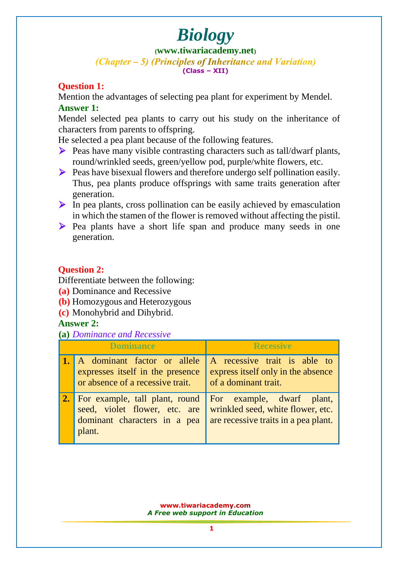**([www.tiwariacademy.net](http://www.tiwariacademy.net/))**

(Chapter – 5) (Principles of Inheritance and Variation) **(Class – XII)**

#### **Question 1:**

Mention the advantages of selecting pea plant for experiment by Mendel. **Answer 1:**

Mendel selected pea plants to carry out his study on the inheritance of characters from parents to offspring.

He selected a pea plant because of the following features.

- $\triangleright$  Peas have many visible contrasting characters such as tall/dwarf plants, round/wrinkled seeds, green/yellow pod, purple/white flowers, etc.
- Peas have bisexual flowers and therefore undergo self pollination easily. Thus, pea plants produce offsprings with same traits generation after generation.
- $\triangleright$  In pea plants, cross pollination can be easily achieved by emasculation in which the stamen of the flower is removed without affecting the pistil.
- Pea plants have a short life span and produce many seeds in one generation.

## **Question 2:**

Differentiate between the following:

- **(a)** Dominance and Recessive
- **(b)** Homozygous and Heterozygous
- **(c)** Monohybrid and Dihybrid.

#### **Answer 2:**

**(a)** *Dominance and Recessive* 

| <b>Dominance</b> |                                                                                                           | <b>Recessive</b>                                                                                       |  |
|------------------|-----------------------------------------------------------------------------------------------------------|--------------------------------------------------------------------------------------------------------|--|
|                  | A dominant factor or allele<br>expresses itself in the presence<br>or absence of a recessive trait.       | A recessive trait is able to<br>express itself only in the absence<br>of a dominant trait.             |  |
| 2.               | For example, tall plant, round<br>seed, violet flower, etc. are<br>dominant characters in a pea<br>plant. | For example, dwarf plant,<br>wrinkled seed, white flower, etc.<br>are recessive traits in a pea plant. |  |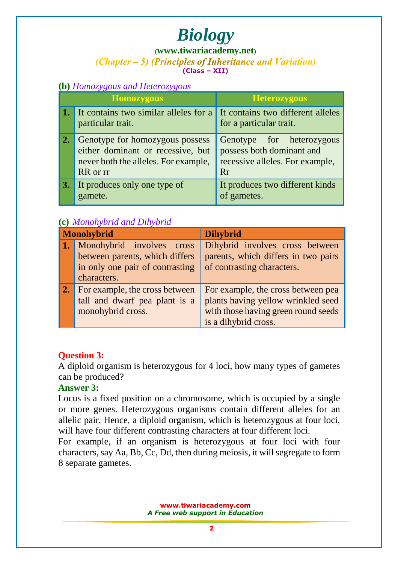# **([www.tiwariacademy.net](http://www.tiwariacademy.net/))**

(Chapter – 5) (Principles of Inheritance and Variation) **(Class – XII)**

**(b)** *Homozygous and Heterozygous* 

|    | <b>Homozygous</b>                                                                                                        | <b>Heterozygous</b>                                                                             |
|----|--------------------------------------------------------------------------------------------------------------------------|-------------------------------------------------------------------------------------------------|
|    | It contains two similar alleles for a It contains two different alleles<br>particular trait.                             | for a particular trait.                                                                         |
| 2. | Genotype for homozygous possess<br>either dominant or recessive, but<br>never both the alleles. For example,<br>RR or rr | Genotype for heterozygous<br>possess both dominant and<br>recessive alleles. For example,<br>Rr |
| 3. | It produces only one type of<br>gamete.                                                                                  | It produces two different kinds<br>of gametes.                                                  |

## **(c)** *Monohybrid and Dihybrid*

| <b>Monohybrid</b>                                                                    | <b>Dihybrid</b>                                                                                                                         |
|--------------------------------------------------------------------------------------|-----------------------------------------------------------------------------------------------------------------------------------------|
| Monohybrid involves<br>cross<br>between parents, which differs                       | Dihybrid involves cross between<br>parents, which differs in two pairs                                                                  |
| in only one pair of contrasting<br>characters.                                       | of contrasting characters.                                                                                                              |
| For example, the cross between<br>tall and dwarf pea plant is a<br>monohybrid cross. | For example, the cross between pea<br>plants having yellow wrinkled seed<br>with those having green round seeds<br>is a dihybrid cross. |

## **Question 3:**

A diploid organism is heterozygous for 4 loci, how many types of gametes can be produced?

## **Answer 3:**

Locus is a fixed position on a chromosome, which is occupied by a single or more genes. Heterozygous organisms contain different alleles for an allelic pair. Hence, a diploid organism, which is heterozygous at four loci, will have four different contrasting characters at four different loci.

For example, if an organism is heterozygous at four loci with four characters, say Aa, Bb, Cc, Dd, then during meiosis, it will segregate to form 8 separate gametes.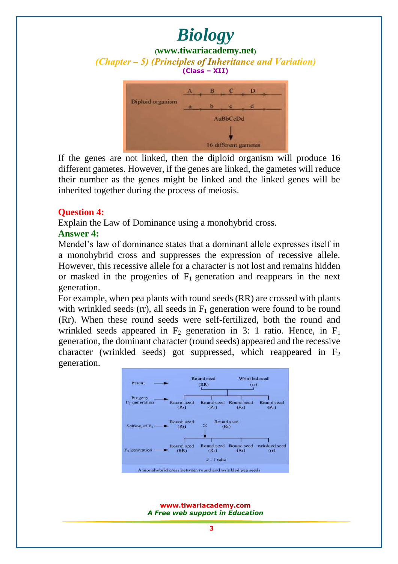#### **([www.tiwariacademy.net](http://www.tiwariacademy.net/))**

(Chapter – 5) (Principles of Inheritance and Variation)



If the genes are not linked, then the diploid organism will produce 16 different gametes. However, if the genes are linked, the gametes will reduce their number as the genes might be linked and the linked genes will be inherited together during the process of meiosis.

#### **Question 4:**

Explain the Law of Dominance using a monohybrid cross.

#### **Answer 4:**

Mendel's law of dominance states that a dominant allele expresses itself in a monohybrid cross and suppresses the expression of recessive allele. However, this recessive allele for a character is not lost and remains hidden or masked in the progenies of  $F_1$  generation and reappears in the next generation.

For example, when pea plants with round seeds (RR) are crossed with plants with wrinkled seeds (rr), all seeds in  $F_1$  generation were found to be round (Rr). When these round seeds were self-fertilized, both the round and wrinkled seeds appeared in  $F_2$  generation in 3: 1 ratio. Hence, in  $F_1$ generation, the dominant character (round seeds) appeared and the recessive character (wrinkled seeds) got suppressed, which reappeared in  $F_2$ generation.

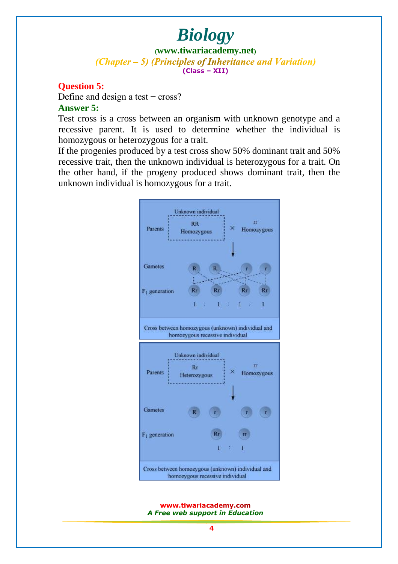**([www.tiwariacademy.net](http://www.tiwariacademy.net/))** (Chapter – 5) (Principles of Inheritance and Variation) **(Class – XII)**

#### **Question 5:**

Define and design a test – cross? **Answer 5:**

Test cross is a cross between an organism with unknown genotype and a recessive parent. It is used to determine whether the individual is homozygous or heterozygous for a trait.

If the progenies produced by a test cross show 50% dominant trait and 50% recessive trait, then the unknown individual is heterozygous for a trait. On the other hand, if the progeny produced shows dominant trait, then the unknown individual is homozygous for a trait.

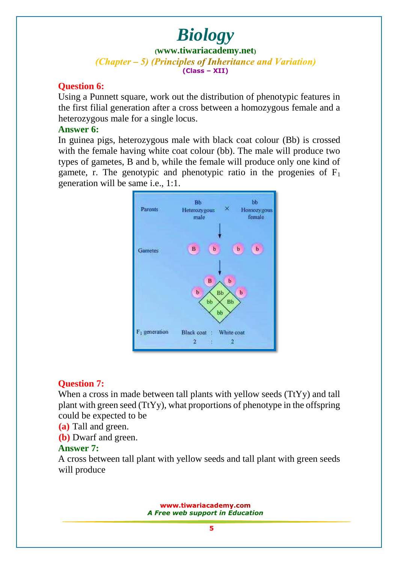**([www.tiwariacademy.net](http://www.tiwariacademy.net/))**

(Chapter – 5) (Principles of Inheritance and Variation)

#### **(Class – XII)**

#### **Question 6:**

Using a Punnett square, work out the distribution of phenotypic features in the first filial generation after a cross between a homozygous female and a heterozygous male for a single locus.

#### **Answer 6:**

In guinea pigs, heterozygous male with black coat colour (Bb) is crossed with the female having white coat colour (bb). The male will produce two types of gametes, B and b, while the female will produce only one kind of gamete, r. The genotypic and phenotypic ratio in the progenies of  $F_1$ generation will be same i.e., 1:1.



#### **Question 7:**

When a cross in made between tall plants with yellow seeds (TtYy) and tall plant with green seed (TtYy), what proportions of phenotype in the offspring could be expected to be

**(a)** Tall and green.

**(b)** Dwarf and green.

#### **Answer 7:**

A cross between tall plant with yellow seeds and tall plant with green seeds will produce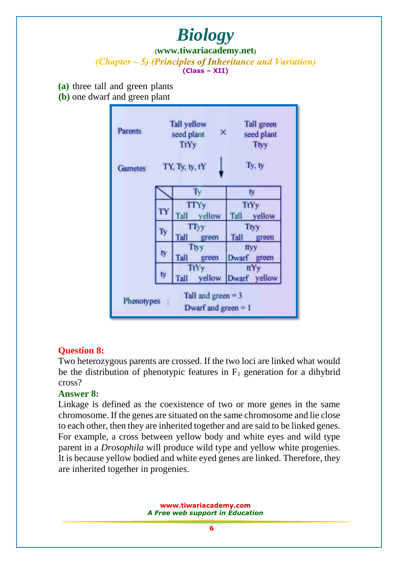#### **([www.tiwariacademy.net](http://www.tiwariacademy.net/))**

(Chapter – 5) (Principles of Inheritance and Variation) **(Class – XII)**

**(a)** three tall and green plants

**(b)** one dwarf and green plant

| <b>Parents</b> |     | Tall yellow<br>seed plant<br>TtYy.            | Tall green<br>X.<br>seed plant<br>Ttyy |
|----------------|-----|-----------------------------------------------|----------------------------------------|
| Gametes        |     | TY, Ty, ty, tY                                | Ty, ty                                 |
|                |     | Ty                                            | ty.                                    |
|                | TY  | <b>TTYy</b><br>Tall<br>yellow                 | <b>TtYy</b><br>Tall<br>yellow          |
|                | Ty. | TTyy<br>Tall<br>green                         | Ttyy<br>Tall<br>green                  |
|                | ty  | Ttyy<br>Tall<br>green                         | ttyy<br>Dwarf<br>green                 |
|                | ty  | <b>TiYy</b>                                   | ttYy<br>Tall yellow Dwarf yellow       |
| Phenotypes :   |     | Tall and green $=$ 3<br>Dwarf and green $= 1$ |                                        |

#### **Question 8:**

Two heterozygous parents are crossed. If the two loci are linked what would be the distribution of phenotypic features in  $F_1$  generation for a dihybrid cross?

#### **Answer 8:**

Linkage is defined as the coexistence of two or more genes in the same chromosome. If the genes are situated on the same chromosome and lie close to each other, then they are inherited together and are said to be linked genes. For example, a cross between yellow body and white eyes and wild type parent in a *Drosophila* will produce wild type and yellow white progenies. It is because yellow bodied and white eyed genes are linked. Therefore, they are inherited together in progenies.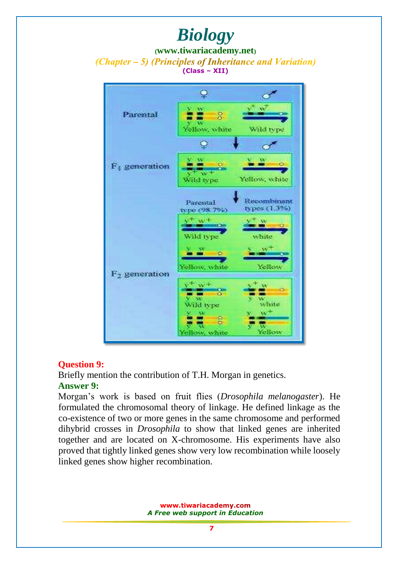**([www.tiwariacademy.net](http://www.tiwariacademy.net/))**

(Chapter – 5) (Principles of Inheritance and Variation) **(Class – XII)**



#### **Question 9:**

Briefly mention the contribution of T.H. Morgan in genetics.

## **Answer 9:**

Morgan's work is based on fruit flies (*Drosophila melanogaster*). He formulated the chromosomal theory of linkage. He defined linkage as the co-existence of two or more genes in the same chromosome and performed dihybrid crosses in *Drosophila* to show that linked genes are inherited together and are located on X-chromosome. His experiments have also proved that tightly linked genes show very low recombination while loosely linked genes show higher recombination.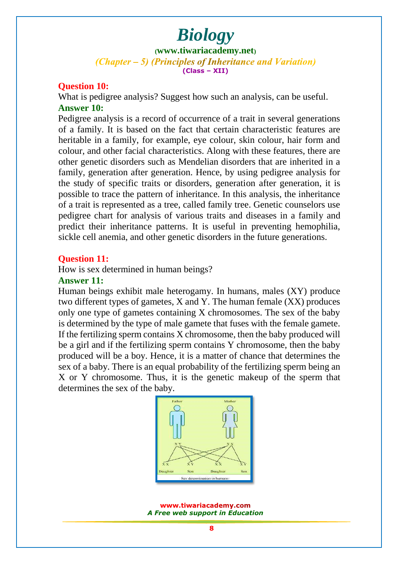**([www.tiwariacademy.net](http://www.tiwariacademy.net/))**

(Chapter – 5) (Principles of Inheritance and Variation) **(Class – XII)**

#### **Question 10:**

What is pedigree analysis? Suggest how such an analysis, can be useful. **Answer 10:**

Pedigree analysis is a record of occurrence of a trait in several generations of a family. It is based on the fact that certain characteristic features are heritable in a family, for example, eye colour, skin colour, hair form and colour, and other facial characteristics. Along with these features, there are other genetic disorders such as Mendelian disorders that are inherited in a family, generation after generation. Hence, by using pedigree analysis for the study of specific traits or disorders, generation after generation, it is possible to trace the pattern of inheritance. In this analysis, the inheritance of a trait is represented as a tree, called family tree. Genetic counselors use pedigree chart for analysis of various traits and diseases in a family and predict their inheritance patterns. It is useful in preventing hemophilia, sickle cell anemia, and other genetic disorders in the future generations.

#### **Question 11:**

How is sex determined in human beings?

#### **Answer 11:**

Human beings exhibit male heterogamy. In humans, males (XY) produce two different types of gametes, X and Y. The human female (XX) produces only one type of gametes containing X chromosomes. The sex of the baby is determined by the type of male gamete that fuses with the female gamete. If the fertilizing sperm contains X chromosome, then the baby produced will be a girl and if the fertilizing sperm contains Y chromosome, then the baby produced will be a boy. Hence, it is a matter of chance that determines the sex of a baby. There is an equal probability of the fertilizing sperm being an X or Y chromosome. Thus, it is the genetic makeup of the sperm that determines the sex of the baby.

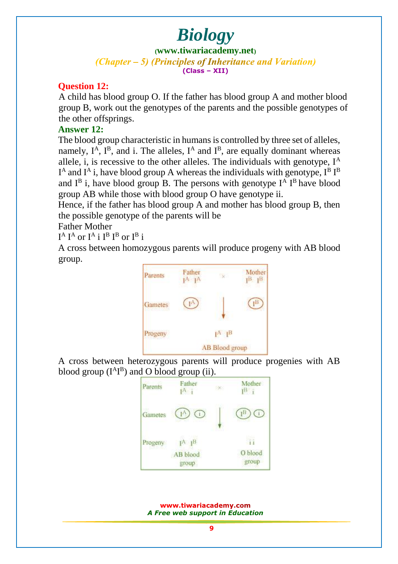**([www.tiwariacademy.net](http://www.tiwariacademy.net/))**

(Chapter – 5) (Principles of Inheritance and Variation)

**(Class – XII)**

## **Question 12:**

A child has blood group O. If the father has blood group A and mother blood group B, work out the genotypes of the parents and the possible genotypes of the other offsprings.

#### **Answer 12:**

The blood group characteristic in humans is controlled by three set of alleles, namely,  $I^A$ ,  $I^B$ , and i. The alleles,  $I^A$  and  $I^B$ , are equally dominant whereas allele, i, is recessive to the other alleles. The individuals with genotype,  $I^A$ I<sup>A</sup> and I<sup>A</sup> i, have blood group A whereas the individuals with genotype, I<sup>B</sup> I<sup>B</sup> and  $I^B$  i, have blood group B. The persons with genotype  $I^A$   $I^B$  have blood group AB while those with blood group O have genotype ii.

Hence, if the father has blood group A and mother has blood group B, then the possible genotype of the parents will be

Father Mother

 $I^A I^A$  or  $I^A$  i  $I^B I^B$  or  $I^B$  i

A cross between homozygous parents will produce progeny with AB blood group.



A cross between heterozygous parents will produce progenies with AB blood group  $(I^A I^B)$  and O blood group (ii).

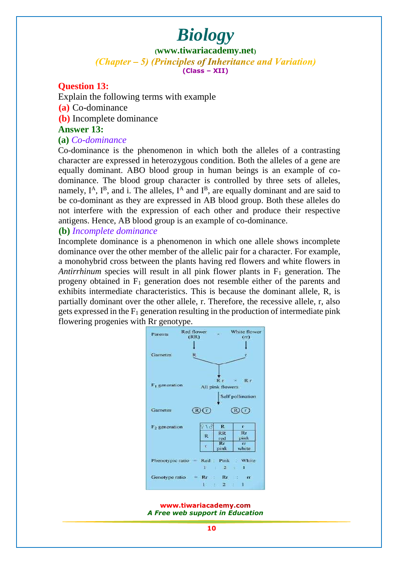**([www.tiwariacademy.net](http://www.tiwariacademy.net/))**

(Chapter – 5) (Principles of Inheritance and Variation) **(Class – XII)**

#### **Question 13:**

Explain the following terms with example **(a)** Co-dominance **(b)** Incomplete dominance **Answer 13: (a)** *Co-dominance*

Co-dominance is the phenomenon in which both the alleles of a contrasting character are expressed in heterozygous condition. Both the alleles of a gene are equally dominant. ABO blood group in human beings is an example of codominance. The blood group character is controlled by three sets of alleles, namely,  $I^A$ ,  $I^B$ , and i. The alleles,  $I^A$  and  $I^B$ , are equally dominant and are said to be co-dominant as they are expressed in AB blood group. Both these alleles do not interfere with the expression of each other and produce their respective antigens. Hence, AB blood group is an example of co-dominance.

#### **(b)** *Incomplete dominance*

Incomplete dominance is a phenomenon in which one allele shows incomplete dominance over the other member of the allelic pair for a character. For example, a monohybrid cross between the plants having red flowers and white flowers in *Antirrhinum* species will result in all pink flower plants in  $F_1$  generation. The progeny obtained in F<sup>1</sup> generation does not resemble either of the parents and exhibits intermediate characteristics. This is because the dominant allele, R, is partially dominant over the other allele, r. Therefore, the recessive allele, r, also gets expressed in the  $F_1$  generation resulting in the production of intermediate pink flowering progenies with Rr genotype.